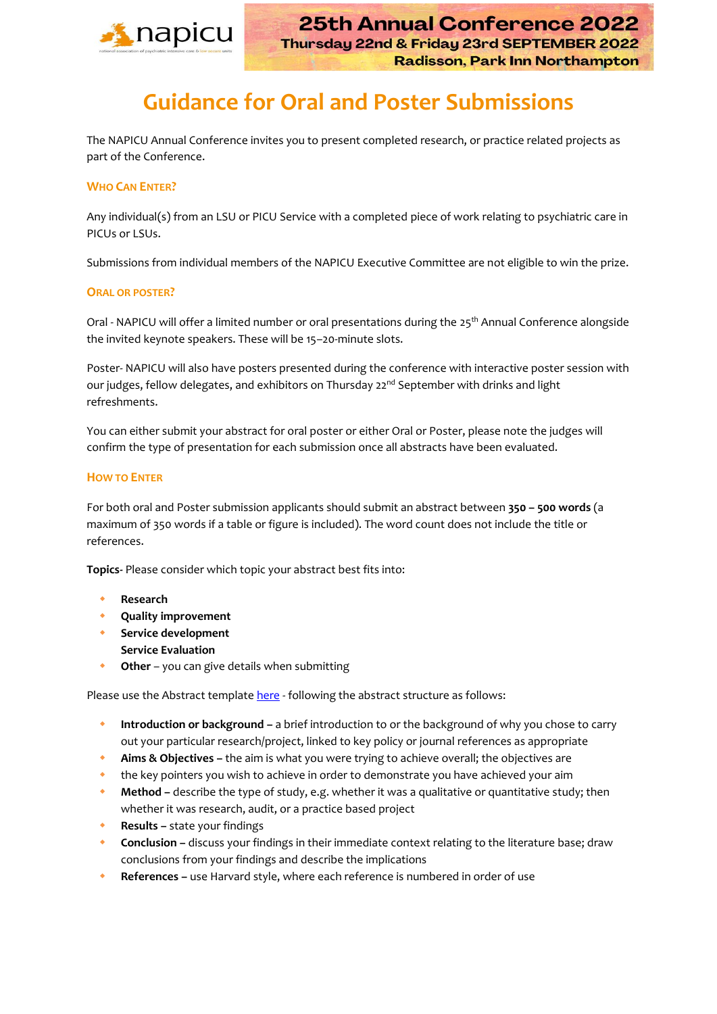

# **Guidance for Oral and Poster Submissions**

The NAPICU Annual Conference invites you to present completed research, or practice related projects as part of the Conference.

## **WHO CAN ENTER?**

Any individual(s) from an LSU or PICU Service with a completed piece of work relating to psychiatric care in PICUs or LSUs.

Submissions from individual members of the NAPICU Executive Committee are not eligible to win the prize.

#### **ORAL OR POSTER?**

Oral - NAPICU will offer a limited number or oral presentations during the 25<sup>th</sup> Annual Conference alongside the invited keynote speakers. These will be 15–20-minute slots.

Poster- NAPICU will also have posters presented during the conference with interactive poster session with our judges, fellow delegates, and exhibitors on Thursday 22<sup>nd</sup> September with drinks and light refreshments.

You can either submit your abstract for oral poster or either Oral or Poster, please note the judges will confirm the type of presentation for each submission once all abstracts have been evaluated.

## **HOW TO ENTER**

For both oral and Poster submission applicants should submit an abstract between **350 – 500 words** (a maximum of 350 words if a table or figure is included). The word count does not include the title or references.

**Topics-** Please consider which topic your abstract best fits into:

- **Research**
- **Quality improvement**
- **Service development**
- **Service Evaluation**
- **Other**  you can give details when submitting

Please use the Abstract template [here](https://napicu.org.uk/wp-content/uploads/2021/12/NAPICU-Abstract-Template.docx) - following the abstract structure as follows:

- **Introduction or background –** a brief introduction to or the background of why you chose to carry out your particular research/project, linked to key policy or journal references as appropriate
- **Aims & Objectives –** the aim is what you were trying to achieve overall; the objectives are
- the key pointers you wish to achieve in order to demonstrate you have achieved your aim
- **Method –** describe the type of study, e.g. whether it was a qualitative or quantitative study; then whether it was research, audit, or a practice based project
- **Results –** state your findings
- **Conclusion –** discuss your findings in their immediate context relating to the literature base; draw conclusions from your findings and describe the implications
- **References –** use Harvard style, where each reference is numbered in order of use